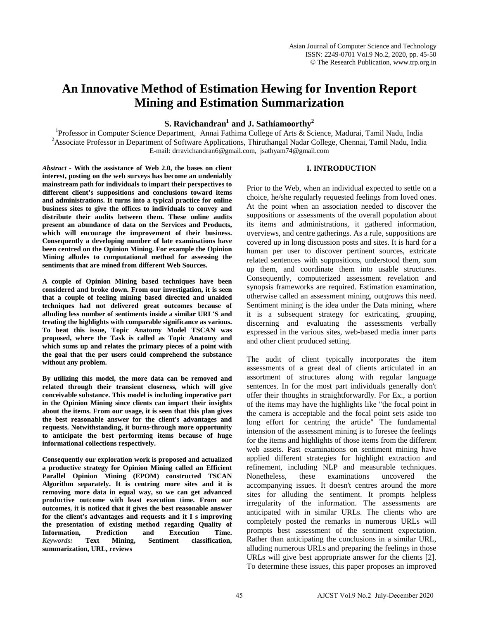# **An Innovative Method of Estimation Hewing for Invention Report Mining and Estimation Summarization**

**S. Ravichandran<sup>1</sup> and J. Sathiamoorthy<sup>2</sup>** 

**S. Ravichandran<sup>1</sup> and J. Sathiamoorthy<sup>2</sup>**<br><sup>1</sup> Professor in Computer Science Department Annai Eathima Collage of Arts & Sci Professor in Computer Science Department, Annai Fathima College of Arts & Science, Madurai, Tamil Nadu, India<br><sup>2</sup> Associate Professor in Department of Software Annivotions, Thiruthongel Nadar College, Channai, Tamil Nadu, <sup>2</sup> Associate Professor in Department of Software Applications, Thiruthangal Nadar College, Chennai, Tamil Nadu, India E-mail: drravichandran6@gmail.com, jsathyam74@gmail.com

# **I. INTRODUCTION**

*Abstract* **- With the assistance of Web 2.0, the bases on client interest, posting on the web surveys has become an undeniably mainstream path for individuals to impart their perspectives to different client's suppositions and conclusions toward items and administrations. It turns into a typical practice for online business sites to give the offices to individuals to convey and distribute their audits between them. These online audits present an abundance of data on the Services and Products, which will encourage the improvement of their business. Consequently a developing number of late examinations have been centred on the Opinion Mining. For example the Opinion Mining alludes to computational method for assessing the sentiments that are mined from different Web Sources.** 

**A couple of Opinion Mining based techniques have been considered and broke down. From our investigation, it is seen that a couple of feeling mining based directed and unaided techniques had not delivered great outcomes because of alluding less number of sentiments inside a similar URL'S and treating the highlights with comparable significance as various. To beat this issue, Topic Anatomy Model TSCAN was proposed, where the Task is called as Topic Anatomy and which sums up and relates the primary pieces of a point with the goal that the per users could comprehend the substance without any problem.** 

**By utilizing this model, the more data can be removed and related through their transient closeness, which will give conceivable substance. This model is including imperative part in the Opinion Mining since clients can impart their insights about the items. From our usage, it is seen that this plan gives the best reasonable answer for the client's advantages and requests. Notwithstanding, it burns-through more opportunity to anticipate the best performing items because of huge informational collections respectively.** 

**Consequently our exploration work is proposed and actualized a productive strategy for Opinion Mining called an Efficient Parallel Opinion Mining (EPOM) constructed TSCAN Algorithm separately. It is centring more sites and it is removing more data in equal way, so we can get advanced productive outcome with least execution time. From our outcomes, it is noticed that it gives the best reasonable answer for the client's advantages and requests and it I s improving the presentation of existing method regarding Quality of Information, Prediction and Execution Time.** *Keywords:* **Text Mining, Sentiment classification, summarization, URL, reviews**

Prior to the Web, when an individual expected to settle on a choice, he/she regularly requested feelings from loved ones. At the point when an association needed to discover the suppositions or assessments of the overall population about its items and administrations, it gathered information, overviews, and centre gatherings. As a rule, suppositions are covered up in long discussion posts and sites. It is hard for a human per user to discover pertinent sources, extricate related sentences with suppositions, understood them, sum up them, and coordinate them into usable structures. Consequently, computerized assessment revelation and synopsis frameworks are required. Estimation examination, otherwise called an assessment mining, outgrows this need. Sentiment mining is the idea under the Data mining, where it is a subsequent strategy for extricating, grouping, discerning and evaluating the assessments verbally expressed in the various sites, web-based media inner parts and other client produced setting.

The audit of client typically incorporates the item assessments of a great deal of clients articulated in an assortment of structures along with regular language sentences. In for the most part individuals generally don't offer their thoughts in straightforwardly. For Ex., a portion of the items may have the highlights like "the focal point in the camera is acceptable and the focal point sets aside too long effort for centring the article" The fundamental intension of the assessment mining is to foresee the feelings for the items and highlights of those items from the different web assets. Past examinations on sentiment mining have applied different strategies for highlight extraction and refinement, including NLP and measurable techniques. Nonetheless, these examinations uncovered the accompanying issues. It doesn't centres around the more sites for alluding the sentiment. It prompts helpless irregularity of the information. The assessments are anticipated with in similar URLs. The clients who are completely posted the remarks in numerous URLs will prompts best assessment of the sentiment expectation. Rather than anticipating the conclusions in a similar URL, alluding numerous URLs and preparing the feelings in those URLs will give best appropriate answer for the clients [2]. To determine these issues, this paper proposes an improved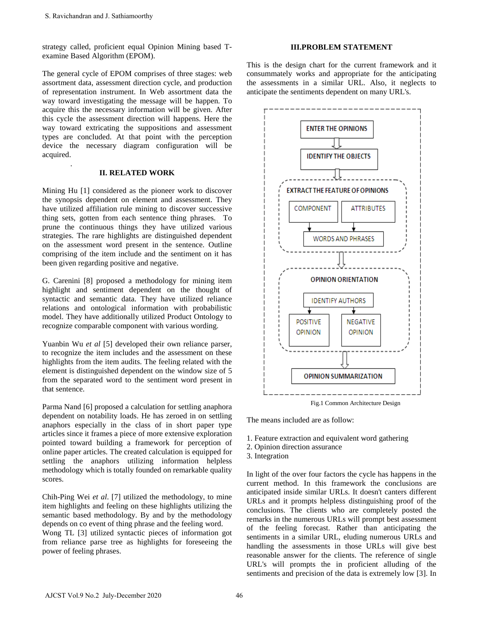.

strategy called, proficient equal Opinion Mining based Texamine Based Algorithm (EPOM).

The general cycle of EPOM comprises of three stages: web assortment data, assessment direction cycle, and production of representation instrument. In Web assortment data the way toward investigating the message will be happen. To acquire this the necessary information will be given. After this cycle the assessment direction will happens. Here the way toward extricating the suppositions and assessment types are concluded. At that point with the perception device the necessary diagram configuration will be acquired. S. Ravielandran and J. Sathiamoorthy<br>
trategy called, proficient equal Opinion Mining hased T-<br>
xatamine Based Algorithm (EPOM).<br>
trategy called, proficient equal Opinion Mining hased T-<br>
the general cycle of EPOM comprise

## **II. RELATED WORK**

Mining Hu [1] considered as the pioneer work to discover the synopsis dependent on element and assessment. They have utilized affiliation rule mining to discover successive thing sets, gotten from each sentence thing phrases. To prune the continuous things they have utilized various strategies. The rare highlights are distinguished dependent on the assessment word present in the sentence. Outline comprising of the item include and the sentiment on it has been given regarding positive and negative.

G. Carenini [8] proposed a methodology for mining item highlight and sentiment dependent on the thought of syntactic and semantic data. They have utilized reliance relations and ontological information with probabilistic model. They have additionally utilized Product Ontology to recognize comparable component with various wording.

Yuanbin Wu *et al* [5] developed their own reliance parser, to recognize the item includes and the assessment on these highlights from the item audits. The feeling related with the element is distinguished dependent on the window size of 5 from the separated word to the sentiment word present in that sentence.

Parma Nand [6] proposed a calculation for settling anaphora dependent on notability loads. He has zeroed in on settling anaphors especially in the class of in short paper type articles since it frames a piece of more extensive exploration pointed toward building a framework for perception of online paper articles. The created calculation is equipped for settling the anaphors utilizing information helpless methodology which is totally founded on remarkable quality scores.

Chih-Ping Wei *et al*. [7] utilized the methodology, to mine item highlights and feeling on these highlights utilizing the semantic based methodology. By and by the methodology depends on co event of thing phrase and the feeling word. Wong TL [3] utilized syntactic pieces of information got from reliance parse tree as highlights for foreseeing the power of feeling phrases.

# **III.PROBLEM STATEMENT**

This is the design chart for the current framework and it consummately works and appropriate for the anticipating the assessments in a similar URL. Also, it neglects to anticipate the sentiments dependent on many URL's.



Fig.1 Common Architecture Design

The means included are as follow:

- 1. Feature extraction and equivalent word gathering
- 2. Opinion direction assurance
- 3. Integration

In light of the over four factors the cycle has happens in the current method. In this framework the conclusions are anticipated inside similar URLs. It doesn't canters different URLs and it prompts helpless distinguishing proof of the conclusions. The clients who are completely posted the remarks in the numerous URLs will prompt best assessment of the feeling forecast. Rather than anticipating the sentiments in a similar URL, eluding numerous URLs and handling the assessments in those URLs will give best reasonable answer for the clients. The reference of single URL's will prompts the in proficient alluding of the sentiments and precision of the data is extremely low [3]. In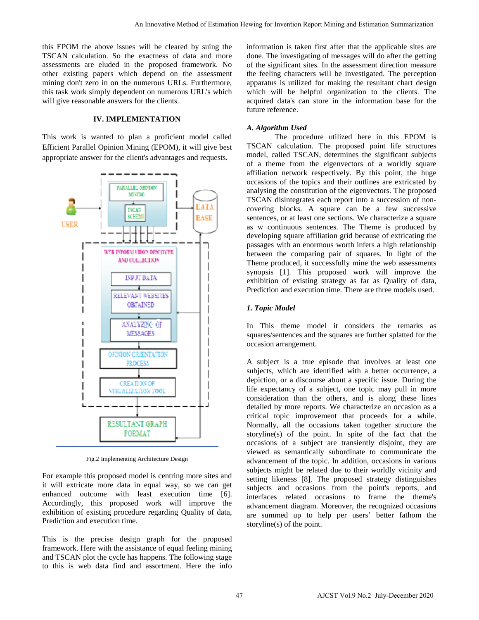this EPOM the above issues will be cleared by suing the TSCAN calculation. So the exactness of data and more assessments are eluded in the proposed framework. No other existing papers which depend on the assessment mining don't zero in on the numerous URLs. Furthermore, this task work simply dependent on numerous URL's which will give reasonable answers for the clients.

# **IV. IMPLEMENTATION**

This work is wanted to plan a proficient model called Efficient Parallel Opinion Mining (EPOM), it will give best appropriate answer for the client's advantages and requests.



Fig.2 Implementing Architecture Design

For example this proposed model is centring more sites and it will extricate more data in equal way, so we can get enhanced outcome with least execution time [6]. Accordingly, this proposed work will improve the exhibition of existing procedure regarding Quality of data, Prediction and execution time.

This is the precise design graph for the proposed framework. Here with the assistance of equal feeling mining and TSCAN plot the cycle has happens. The following stage to this is web data find and assortment. Here the info

information is taken first after that the applicable sites are done. The investigating of messages will do after the getting of the significant sites. In the assessment direction measure the feeling characters will be investigated. The perception apparatus is utilized for making the resultant chart design which will be helpful organization to the clients. The acquired data's can store in the information base for the future reference.

## *A. Algorithm Used*

The procedure utilized here in this EPOM is TSCAN calculation. The proposed point life structures model, called TSCAN, determines the significant subjects of a theme from the eigenvectors of a worldly square affiliation network respectively. By this point, the huge occasions of the topics and their outlines are extricated by analysing the constitution of the eigenvectors. The proposed TSCAN disintegrates each report into a succession of noncovering blocks. A square can be a few successive sentences, or at least one sections. We characterize a square as w continuous sentences. The Theme is produced by developing square affiliation grid because of extricating the passages with an enormous worth infers a high relationship between the comparing pair of squares. In light of the Theme produced, it successfully mine the web assessments synopsis [1]. This proposed work will improve the exhibition of existing strategy as far as Quality of data, Prediction and execution time. There are three models used.

## *1. Topic Model*

In This theme model it considers the remarks as squares/sentences and the squares are further splatted for the occasion arrangement.

A subject is a true episode that involves at least one subjects, which are identified with a better occurrence, a depiction, or a discourse about a specific issue. During the life expectancy of a subject, one topic may pull in more consideration than the others, and is along these lines detailed by more reports. We characterize an occasion as a critical topic improvement that proceeds for a while. Normally, all the occasions taken together structure the storyline(s) of the point. In spite of the fact that the occasions of a subject are transiently disjoint, they are viewed as semantically subordinate to communicate the advancement of the topic. In addition, occasions in various subjects might be related due to their worldly vicinity and setting likeness [8]. The proposed strategy distinguishes subjects and occasions from the point's reports, and interfaces related occasions to frame the theme's advancement diagram. Moreover, the recognized occasions are summed up to help per users' better fathom the storyline(s) of the point. An Innovative Media of Basimaton Develop for Estimating Herman control at the figure of the time and the specifical distants are also that the proposition of the control at the specifical control and develop of the anisot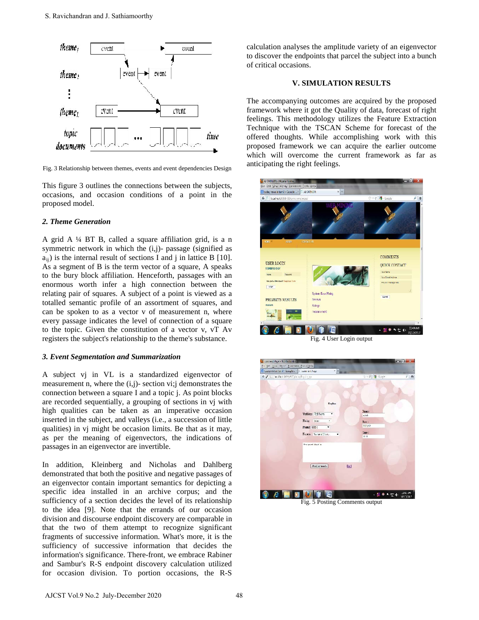

Fig. 3 Relationship between themes, events and event dependencies Design

This figure 3 outlines the connections between the subjects, occasions, and occasion conditions of a point in the proposed model.

## *2. Theme Generation*

A grid A ¼ BT B, called a square affiliation grid, is a n symmetric network in which the (i,j)- passage (signified as  $a_{ii}$ ) is the internal result of sections I and j in lattice B [10]. As a segment of B is the term vector of a square, A speaks to the bury block affiliation. Henceforth, passages with an enormous worth infer a high connection between the relating pair of squares. A subject of a point is viewed as a totalled semantic profile of an assortment of squares, and can be spoken to as a vector v of measurement n, where every passage indicates the level of connection of a square to the topic. Given the constitution of a vector v, vT Av registers the subject's relationship to the theme's substance.

## *3. Event Segmentation and Summarization*

A subject vj in VL is a standardized eigenvector of measurement n, where the (i,j)- section vi;j demonstrates the connection between a square I and a topic j. As point blocks are recorded sequentially, a grouping of sections in vj with high qualities can be taken as an imperative occasion inserted in the subject, and valleys (i.e., a succession of little qualities) in vj might be occasion limits. Be that as it may, as per the meaning of eigenvectors, the indications of passages in an eigenvector are invertible.

In addition, Kleinberg and Nicholas and Dahlberg demonstrated that both the positive and negative passages of an eigenvector contain important semantics for depicting a specific idea installed in an archive corpus; and the sufficiency of a section decides the level of its relationship to the idea [9]. Note that the errands of our occasion division and discourse endpoint discovery are comparable in that the two of them attempt to recognize significant fragments of successive information. What's more, it is the sufficiency of successive information that decides the information's significance. There-front, we embrace Rabiner and Sambur's R-S endpoint discovery calculation utilized for occasion division. To portion occasions, the R-S calculation analyses the amplitude variety of an eigenvector to discover the endpoints that parcel the subject into a bunch of critical occasions.

## **V. SIMULATION RESULTS**

The accompanying outcomes are acquired by the proposed framework where it got the Quality of data, forecast of right feelings. This methodology utilizes the Feature Extraction Technique with the TSCAN Scheme for forecast of the offered thoughts. While accomplishing work with this proposed framework we can acquire the earlier outcome which will overcome the current framework as far as anticipating the right feelings.



Fig. 4 User Login output



Fig. 5 Posting Comments output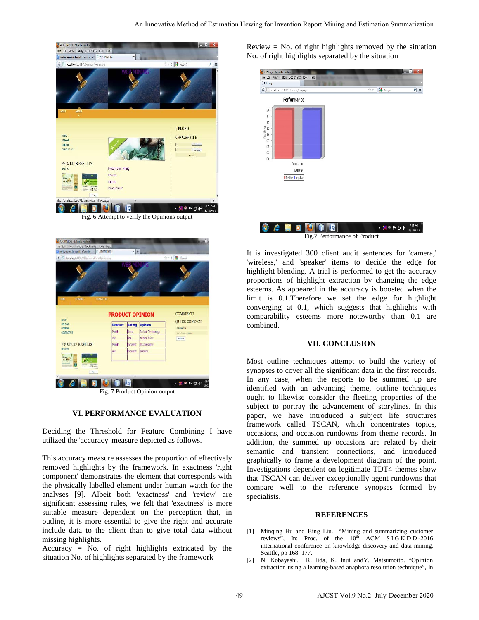



Fig. 7 Product Opinion output

### **VI. PERFORMANCE EVALUATION**

Deciding the Threshold for Feature Combining I have utilized the 'accuracy' measure depicted as follows.

This accuracy measure assesses the proportion of effectively removed highlights by the framework. In exactness 'right component' demonstrates the element that corresponds with the physically labelled element under human watch for the analyses [9]. Albeit both 'exactness' and 'review' are significant assessing rules, we felt that 'exactness' is more suitable measure dependent on the perception that, in outline, it is more essential to give the right and accurate include data to the client than to give total data without missing highlights.

Accuracy = No. of right highlights extricated by the situation No. of highlights separated by the framework

Review  $=$  No. of right highlights removed by the situation No. of right highlights separated by the situation



It is investigated 300 client audit sentences for 'camera,' 'wireless,' and 'speaker' items to decide the edge for highlight blending. A trial is performed to get the accuracy proportions of highlight extraction by changing the edge esteems. As appeared in the accuracy is boosted when the limit is 0.1.Therefore we set the edge for highlight converging at 0.1, which suggests that highlights with comparability esteems more noteworthy than 0.1 are combined.

#### **VII. CONCLUSION**

Most outline techniques attempt to build the variety of synopses to cover all the significant data in the first records. In any case, when the reports to be summed up are identified with an advancing theme, outline techniques ought to likewise consider the fleeting properties of the subject to portray the advancement of storylines. In this paper, we have introduced a subject life structures framework called TSCAN, which concentrates topics, occasions, and occasion rundowns from theme records. In addition, the summed up occasions are related by their semantic and transient connections, and introduced graphically to frame a development diagram of the point. Investigations dependent on legitimate TDT4 themes show that TSCAN can deliver exceptionally agent rundowns that compare well to the reference synopses formed by specialists.

#### **REFERENCES**

- [1] Minqing Hu and Bing Liu. "Mining and summarizing customer reviews", In: Proc. of the  $10^{th}$  ACM SIGKDD-2016 international conference on knowledge discovery and data mining, Seattle, pp 168–177.
- [2] N. Kobayashi, R. Iida, K. Inui andY. Matsumotto. "Opinion extraction using a learning-based anaphora resolution technique", In